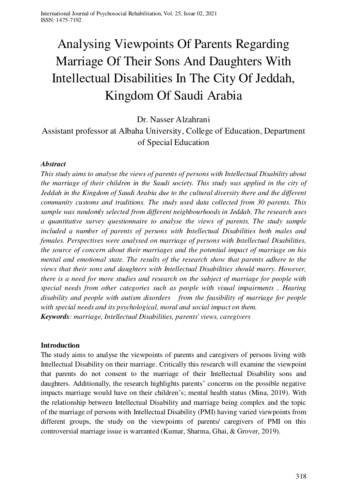# Analysing Viewpoints Of Parents Regarding Marriage Of Their Sons And Daughters With Intellectual Disabilities In The City Of Jeddah, Kingdom Of Saudi Arabia

Dr. Nasser Alzahrani

Assistant professor at Albaha University, College of Education, Department of Special Education

### *Abstract*

*This study aims to analyse the views of parents of persons with Intellectual Disability about the marriage of their children in the Saudi society. This study was applied in the city of Jeddah in the Kingdom of Saudi Arabia due to the cultural diversity there and the different community customs and traditions. The study used data collected from 30 parents. This sample was randomly selected from different neighbourhoods in Jeddah. The research uses a quantitative survey questionnaire to analyse the views of parents. The study sample included a number of parents of persons with Intellectual Disabilities both males and females. Perspectives were analysed on marriage of persons with Intellectual Disabilities, the source of concern about their marriages and the potential impact of marriage on his mental and emotional state. The results of the research show that parents adhere to the views that their sons and daughters with Intellectual Disabilities should marry. However, there is a need for more studies and research on the subject of marriage for people with special needs from other categories such as people with visual impairments , Hearing disability and people with autism disorders from the feasibility of marriage for people with special needs and its psychological, moral and social impact on them. Keywords: marriage, Intellectual Disabilities, parents' views, caregivers* 

### **Introduction**

The study aims to analyse the viewpoints of parents and caregivers of persons living with Intellectual Disability on their marriage. Critically this research will examine the viewpoint that parents do not consent to the marriage of their Intellectual Disability sons and daughters. Additionally, the research highlights parents' concerns on the possible negative impacts marriage would have on their children's; mental health status (Mina, 2019). With the relationship between Intellectual Disability and marriage being complex and the topic of the marriage of persons with Intellectual Disability (PMI) having varied viewpoints from different groups, the study on the viewpoints of parents/ caregivers of PMI on this controversial marriage issue is warranted (Kumar, Sharma, Ghai, & Grover, 2019).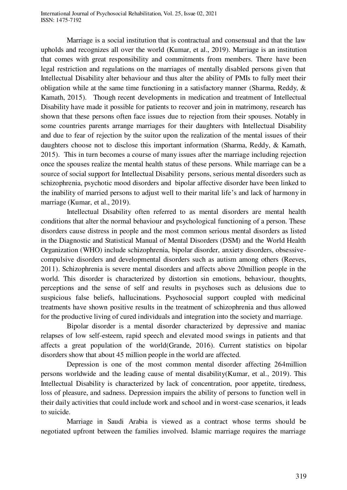Marriage is a social institution that is contractual and consensual and that the law upholds and recognizes all over the world (Kumar, et al., 2019). Marriage is an institution that comes with great responsibility and commitments from members. There have been legal restriction and regulations on the marriages of mentally disabled persons given that Intellectual Disability alter behaviour and thus alter the ability of PMIs to fully meet their obligation while at the same time functioning in a satisfactory manner (Sharma, Reddy,  $\&$ Kamath, 2015). Though recent developments in medication and treatment of Intellectual Disability have made it possible for patients to recover and join in matrimony, research has shown that these persons often face issues due to rejection from their spouses. Notably in some countries parents arrange marriages for their daughters with Intellectual Disability and due to fear of rejection by the suitor upon the realization of the mental issues of their daughters choose not to disclose this important information (Sharma, Reddy, & Kamath, 2015). This in turn becomes a course of many issues after the marriage including rejection once the spouses realize the mental health status of these persons. While marriage can be a source of social support for Intellectual Disability persons, serious mental disorders such as schizophrenia, psychotic mood disorders and bipolar affective disorder have been linked to the inability of married persons to adjust well to their marital life's and lack of harmony in marriage (Kumar, et al., 2019).

Intellectual Disability often referred to as mental disorders are mental health conditions that alter the normal behaviour and psychological functioning of a person. These disorders cause distress in people and the most common serious mental disorders as listed in the Diagnostic and Statistical Manual of Mental Disorders (DSM) and the World Health Organization (WHO) include schizophrenia, bipolar disorder, anxiety disorders, obsessivecompulsive disorders and developmental disorders such as autism among others (Reeves, 2011). Schizophrenia is severe mental disorders and affects above 20million people in the world. This disorder is characterized by distortion sin emotions, behaviour, thoughts, perceptions and the sense of self and results in psychoses such as delusions due to suspicious false beliefs, hallucinations. Psychosocial support coupled with medicinal treatments have shown positive results in the treatment of schizophrenia and thus allowed for the productive living of cured individuals and integration into the society and marriage.

Bipolar disorder is a mental disorder characterized by depressive and maniac relapses of low self-esteem, rapid speech and elevated mood swings in patients and that affects a great population of the world(Grande, 2016). Current statistics on bipolar disorders show that about 45 million people in the world are affected.

Depression is one of the most common mental disorder affecting 264million persons worldwide and the leading cause of mental disability(Kumar, et al., 2019). This Intellectual Disability is characterized by lack of concentration, poor appetite, tiredness, loss of pleasure, and sadness. Depression impairs the ability of persons to function well in their daily activities that could include work and school and in worst-case scenarios, it leads to suicide.

Marriage in Saudi Arabia is viewed as a contract whose terms should be negotiated upfront between the families involved. Islamic marriage requires the marriage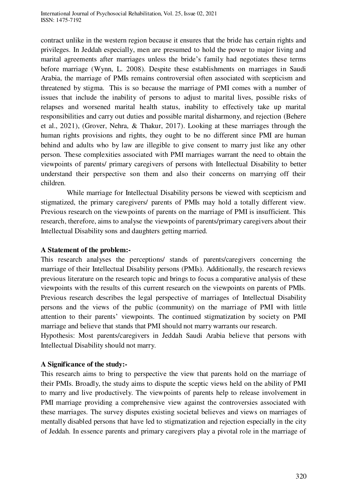contract unlike in the western region because it ensures that the bride has certain rights and privileges. In Jeddah especially, men are presumed to hold the power to major living and marital agreements after marriages unless the bride's family had negotiates these terms before marriage (Wynn, L. 2008). Despite these establishments on marriages in Saudi Arabia, the marriage of PMIs remains controversial often associated with scepticism and threatened by stigma. This is so because the marriage of PMI comes with a number of issues that include the inability of persons to adjust to marital lives, possible risks of relapses and worsened marital health status, inability to effectively take up marital responsibilities and carry out duties and possible marital disharmony, and rejection (Behere et al., 2021), (Grover, Nehra, & Thakur, 2017). Looking at these marriages through the human rights provisions and rights, they ought to be no different since PMI are human behind and adults who by law are illegible to give consent to marry just like any other person. These complexities associated with PMI marriages warrant the need to obtain the viewpoints of parents/ primary caregivers of persons with Intellectual Disability to better understand their perspective son them and also their concerns on marrying off their children.

While marriage for Intellectual Disability persons be viewed with scepticism and stigmatized, the primary caregivers/ parents of PMIs may hold a totally different view. Previous research on the viewpoints of parents on the marriage of PMI is insufficient. This research, therefore, aims to analyse the viewpoints of parents/primary caregivers about their Intellectual Disability sons and daughters getting married.

### **A Statement of the problem:-**

This research analyses the perceptions/ stands of parents/caregivers concerning the marriage of their Intellectual Disability persons (PMIs). Additionally, the research reviews previous literature on the research topic and brings to focus a comparative analysis of these viewpoints with the results of this current research on the viewpoints on parents of PMIs. Previous research describes the legal perspective of marriages of Intellectual Disability persons and the views of the public (community) on the marriage of PMI with little attention to their parents' viewpoints. The continued stigmatization by society on PMI marriage and believe that stands that PMI should not marry warrants our research.

Hypothesis: Most parents/caregivers in Jeddah Saudi Arabia believe that persons with Intellectual Disability should not marry.

#### **A Significance of the study:-**

This research aims to bring to perspective the view that parents hold on the marriage of their PMIs. Broadly, the study aims to dispute the sceptic views held on the ability of PMI to marry and live productively. The viewpoints of parents help to release involvement in PMI marriage providing a comprehensive view against the controversies associated with these marriages. The survey disputes existing societal believes and views on marriages of mentally disabled persons that have led to stigmatization and rejection especially in the city of Jeddah. In essence parents and primary caregivers play a pivotal role in the marriage of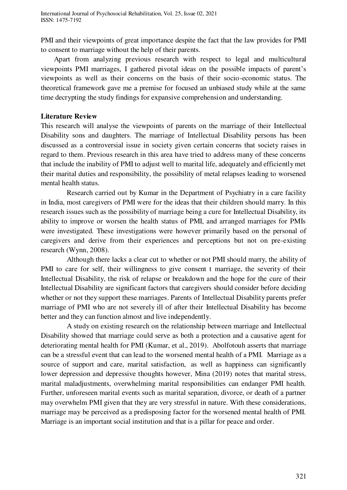PMI and their viewpoints of great importance despite the fact that the law provides for PMI to consent to marriage without the help of their parents.

Apart from analyzing previous research with respect to legal and multicultural viewpoints PMI marriages, I gathered pivotal ideas on the possible impacts of parent's viewpoints as well as their concerns on the basis of their socio-economic status. The theoretical framework gave me a premise for focused an unbiased study while at the same time decrypting the study findings for expansive comprehension and understanding.

## **Literature Review**

This research will analyse the viewpoints of parents on the marriage of their Intellectual Disability sons and daughters. The marriage of Intellectual Disability persons has been discussed as a controversial issue in society given certain concerns that society raises in regard to them. Previous research in this area have tried to address many of these concerns that include the inability of PMI to adjust well to marital life, adequately and efficiently met their marital duties and responsibility, the possibility of metal relapses leading to worsened mental health status.

Research carried out by Kumar in the Department of Psychiatry in a care facility in India, most caregivers of PMI were for the ideas that their children should marry. In this research issues such as the possibility of marriage being a cure for Intellectual Disability, its ability to improve or worsen the health status of PMI, and arranged marriages for PMIs were investigated. These investigations were however primarily based on the personal of caregivers and derive from their experiences and perceptions but not on pre-existing research (Wynn, 2008).

Although there lacks a clear cut to whether or not PMI should marry, the ability of PMI to care for self, their willingness to give consent t marriage, the severity of their Intellectual Disability, the risk of relapse or breakdown and the hope for the cure of their Intellectual Disability are significant factors that caregivers should consider before deciding whether or not they support these marriages. Parents of Intellectual Disability parents prefer marriage of PMI who are not severely ill of after their Intellectual Disability has become better and they can function almost and live independently.

 A study on existing research on the relationship between marriage and Intellectual Disability showed that marriage could serve as both a protection and a causative agent for deteriorating mental health for PMI (Kumar, et al., 2019). Abolfotouh asserts that marriage can be a stressful event that can lead to the worsened mental health of a PMI. Marriage as a source of support and care, marital satisfaction, as well as happiness can significantly lower depression and depressive thoughts however, Mina (2019) notes that marital stress, marital maladjustments, overwhelming marital responsibilities can endanger PMI health. Further, unforeseen marital events such as marital separation, divorce, or death of a partner may overwhelm PMI given that they are very stressful in nature. With these considerations, marriage may be perceived as a predisposing factor for the worsened mental health of PMI. Marriage is an important social institution and that is a pillar for peace and order.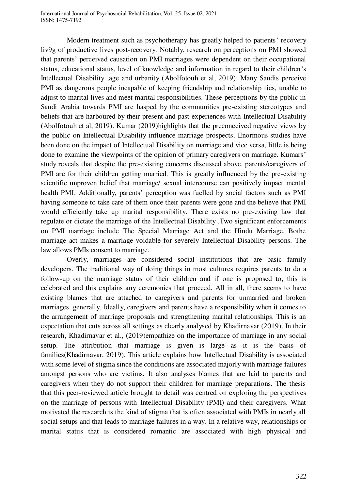International Journal of Psychosocial Rehabilitation, Vol. 25, Issue 02, 2021 ISSN: 1475-7192

Modern treatment such as psychotherapy has greatly helped to patients' recovery liv9g of productive lives post-recovery. Notably, research on perceptions on PMI showed that parents' perceived causation on PMI marriages were dependent on their occupational status, educational status, level of knowledge and information in regard to their children's Intellectual Disability ,age and urbanity (Abolfotouh et al, 2019). Many Saudis perceive PMI as dangerous people incapable of keeping friendship and relationship ties, unable to adjust to marital lives and meet marital responsibilities. These perceptions by the public in Saudi Arabia towards PMI are hasped by the communities pre-existing stereotypes and beliefs that are harboured by their present and past experiences with Intellectual Disability (Abolfotouh et al, 2019). Kumar (2019)highlights that the preconceived negative views by the public on Intellectual Disability influence marriage prospects. Enormous studies have been done on the impact of Intellectual Disability on marriage and vice versa, little is being done to examine the viewpoints of the opinion of primary caregivers on marriage. Kumars' study reveals that despite the pre-existing concerns discussed above, parents/caregivers of PMI are for their children getting married. This is greatly influenced by the pre-existing scientific unproven belief that marriage/ sexual intercourse can positively impact mental health PMI. Additionally, parents' perception was fuelled by social factors such as PMI having someone to take care of them once their parents were gone and the believe that PMI would efficiently take up marital responsibility. There exists no pre-existing law that regulate or dictate the marriage of the Intellectual Disability .Two significant enforcements on PMI marriage include The Special Marriage Act and the Hindu Marriage. Bothe marriage act makes a marriage voidable for severely Intellectual Disability persons. The law allows PMIs consent to marriage.

Overly, marriages are considered social institutions that are basic family developers. The traditional way of doing things in most cultures requires parents to do a follow-up on the marriage status of their children and if one is proposed to, this is celebrated and this explains any ceremonies that proceed. All in all, there seems to have existing blames that are attached to caregivers and parents for unmarried and broken marriages, generally. Ideally, caregivers and parents have a responsibility when it comes to the arrangement of marriage proposals and strengthening marital relationships. This is an expectation that cuts across all settings as clearly analysed by Khadirnavar (2019). In their research, Khadirnavar et al., (2019)empathize on the importance of marriage in any social setup. The attribution that marriage is given is large as it is the basis of families(Khadirnavar, 2019). This article explains how Intellectual Disability is associated with some level of stigma since the conditions are associated majorly with marriage failures amongst persons who are victims. It also analyses blames that are laid to parents and caregivers when they do not support their children for marriage preparations. The thesis that this peer-reviewed article brought to detail was centred on exploring the perspectives on the marriage of persons with Intellectual Disability (PMI) and their caregivers. What motivated the research is the kind of stigma that is often associated with PMIs in nearly all social setups and that leads to marriage failures in a way. In a relative way, relationships or marital status that is considered romantic are associated with high physical and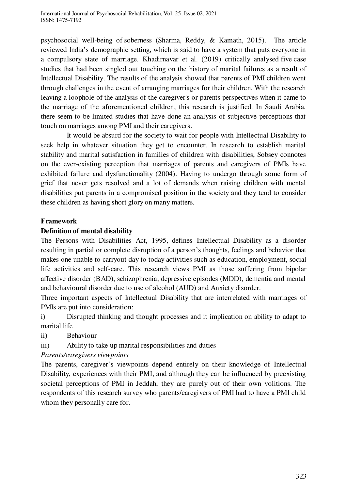psychosocial well-being of soberness (Sharma, Reddy, & Kamath, 2015). The article reviewed India's demographic setting, which is said to have a system that puts everyone in a compulsory state of marriage. Khadirnavar et al. (2019) critically analysed five case studies that had been singled out touching on the history of marital failures as a result of Intellectual Disability. The results of the analysis showed that parents of PMI children went through challenges in the event of arranging marriages for their children. With the research leaving a loophole of the analysis of the caregiver's or parents perspectives when it came to the marriage of the aforementioned children, this research is justified. In Saudi Arabia, there seem to be limited studies that have done an analysis of subjective perceptions that touch on marriages among PMI and their caregivers.

It would be absurd for the society to wait for people with Intellectual Disability to seek help in whatever situation they get to encounter. In research to establish marital stability and marital satisfaction in families of children with disabilities, Sobsey connotes on the ever-existing perception that marriages of parents and caregivers of PMIs have exhibited failure and dysfunctionality (2004). Having to undergo through some form of grief that never gets resolved and a lot of demands when raising children with mental disabilities put parents in a compromised position in the society and they tend to consider these children as having short glory on many matters.

## **Framework**

# **Definition of mental disability**

The Persons with Disabilities Act, 1995, defines Intellectual Disability as a disorder resulting in partial or complete disruption of a person's thoughts, feelings and behavior that makes one unable to carryout day to today activities such as education, employment, social life activities and self-care. This research views PMI as those suffering from bipolar affective disorder (BAD), schizophrenia, depressive episodes (MDD), dementia and mental and behavioural disorder due to use of alcohol (AUD) and Anxiety disorder.

Three important aspects of Intellectual Disability that are interrelated with marriages of PMIs are put into consideration;

i) Disrupted thinking and thought processes and it implication on ability to adapt to marital life

ii) Behaviour

iii) Ability to take up marital responsibilities and duties

### *Parents/caregivers viewpoints*

The parents, caregiver's viewpoints depend entirely on their knowledge of Intellectual Disability, experiences with their PMI, and although they can be influenced by preexisting societal perceptions of PMI in Jeddah, they are purely out of their own volitions. The respondents of this research survey who parents/caregivers of PMI had to have a PMI child whom they personally care for.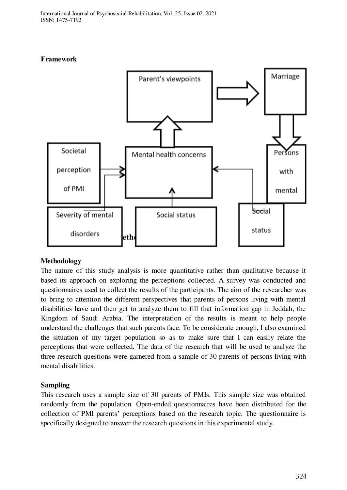# **Framework**



# **Methodology**

The nature of this study analysis is more quantitative rather than qualitative because it based its approach on exploring the perceptions collected. A survey was conducted and questionnaires used to collect the results of the participants. The aim of the researcher was to bring to attention the different perspectives that parents of persons living with mental disabilities have and then get to analyze them to fill that information gap in Jeddah, the Kingdom of Saudi Arabia. The interpretation of the results is meant to help people understand the challenges that such parents face. To be considerate enough, I also examined the situation of my target population so as to make sure that I can easily relate the perceptions that were collected. The data of the research that will be used to analyze the three research questions were garnered from a sample of 30 parents of persons living with mental disabilities.

# **Sampling**

This research uses a sample size of 30 parents of PMIs. This sample size was obtained randomly from the population. Open-ended questionnaires have been distributed for the collection of PMI parents' perceptions based on the research topic. The questionnaire is specifically designed to answer the research questions in this experimental study.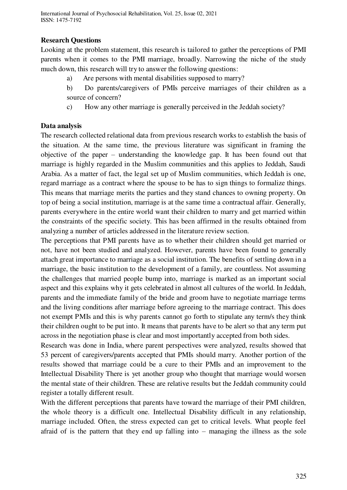# **Research Questions**

Looking at the problem statement, this research is tailored to gather the perceptions of PMI parents when it comes to the PMI marriage, broadly. Narrowing the niche of the study much down, this research will try to answer the following questions:

- a) Are persons with mental disabilities supposed to marry?
- b) Do parents/caregivers of PMIs perceive marriages of their children as a source of concern?
- c) How any other marriage is generally perceived in the Jeddah society?

## **Data analysis**

The research collected relational data from previous research works to establish the basis of the situation. At the same time, the previous literature was significant in framing the objective of the paper – understanding the knowledge gap. It has been found out that marriage is highly regarded in the Muslim communities and this applies to Jeddah, Saudi Arabia. As a matter of fact, the legal set up of Muslim communities, which Jeddah is one, regard marriage as a contract where the spouse to be has to sign things to formalize things. This means that marriage merits the parties and they stand chances to owning property. On top of being a social institution, marriage is at the same time a contractual affair. Generally, parents everywhere in the entire world want their children to marry and get married within the constraints of the specific society. This has been affirmed in the results obtained from analyzing a number of articles addressed in the literature review section.

The perceptions that PMI parents have as to whether their children should get married or not, have not been studied and analyzed. However, parents have been found to generally attach great importance to marriage as a social institution. The benefits of settling down in a marriage, the basic institution to the development of a family, are countless. Not assuming the challenges that married people bump into, marriage is marked as an important social aspect and this explains why it gets celebrated in almost all cultures of the world. In Jeddah, parents and the immediate family of the bride and groom have to negotiate marriage terms and the living conditions after marriage before agreeing to the marriage contract. This does not exempt PMIs and this is why parents cannot go forth to stipulate any term/s they think their children ought to be put into. It means that parents have to be alert so that any term put across in the negotiation phase is clear and most importantly accepted from both sides.

Research was done in India, where parent perspectives were analyzed, results showed that 53 percent of caregivers/parents accepted that PMIs should marry. Another portion of the results showed that marriage could be a cure to their PMIs and an improvement to the Intellectual Disability There is yet another group who thought that marriage would worsen the mental state of their children. These are relative results but the Jeddah community could register a totally different result.

With the different perceptions that parents have toward the marriage of their PMI children, the whole theory is a difficult one. Intellectual Disability difficult in any relationship, marriage included. Often, the stress expected can get to critical levels. What people feel afraid of is the pattern that they end up falling into – managing the illness as the sole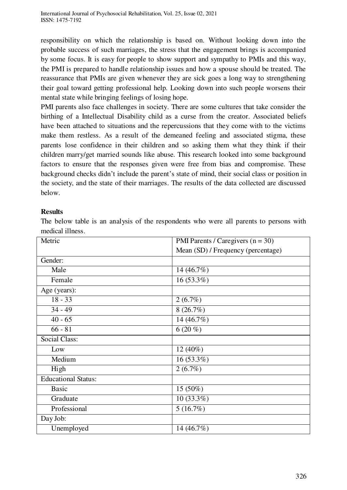responsibility on which the relationship is based on. Without looking down into the probable success of such marriages, the stress that the engagement brings is accompanied by some focus. It is easy for people to show support and sympathy to PMIs and this way, the PMI is prepared to handle relationship issues and how a spouse should be treated. The reassurance that PMIs are given whenever they are sick goes a long way to strengthening their goal toward getting professional help. Looking down into such people worsens their mental state while bringing feelings of losing hope.

PMI parents also face challenges in society. There are some cultures that take consider the birthing of a Intellectual Disability child as a curse from the creator. Associated beliefs have been attached to situations and the repercussions that they come with to the victims make them restless. As a result of the demeaned feeling and associated stigma, these parents lose confidence in their children and so asking them what they think if their children marry/get married sounds like abuse. This research looked into some background factors to ensure that the responses given were free from bias and compromise. These background checks didn't include the parent's state of mind, their social class or position in the society, and the state of their marriages. The results of the data collected are discussed below.

### **Results**

The below table is an analysis of the respondents who were all parents to persons with medical illness.

| Metric                     | PMI Parents / Caregivers $(n = 30)$ |
|----------------------------|-------------------------------------|
|                            | Mean (SD) / Frequency (percentage)  |
| Gender:                    |                                     |
| Male                       | 14 (46.7%)                          |
| Female                     | $16(53.3\%)$                        |
| Age (years):               |                                     |
| $18 - 33$                  | $2(6.7\%)$                          |
| $34 - 49$                  | 8(26.7%)                            |
| $40 - 65$                  | 14 (46.7%)                          |
| $66 - 81$                  | $6(20\%)$                           |
| <b>Social Class:</b>       |                                     |
| Low                        | 12 (40%)                            |
| Medium                     | $16(53.3\%)$                        |
| High                       | $2(6.7\%)$                          |
| <b>Educational Status:</b> |                                     |
| <b>Basic</b>               | 15 (50%)                            |
| Graduate                   | $10(33.3\%)$                        |
| Professional               | 5(16.7%)                            |
| Day Job:                   |                                     |
| Unemployed                 | 14 (46.7%)                          |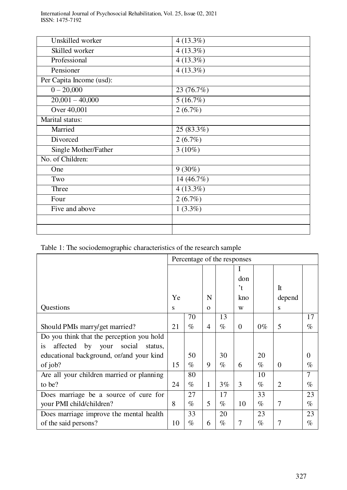| Unskilled worker         | $4(13.3\%)$            |
|--------------------------|------------------------|
| Skilled worker           | $4(13.3\%)$            |
| Professional             | $4(13.3\%)$            |
| Pensioner                | $4(13.3\%)$            |
| Per Capita Income (usd): |                        |
| $0 - 20,000$             | 23 (76.7%)             |
| $20,001 - 40,000$        | $\overline{5(16.7\%)}$ |
| Over 40,001              | 2(6.7%)                |
| Marital status:          |                        |
| Married                  | 25 (83.3%)             |
| Divorced                 | 2(6.7%)                |
| Single Mother/Father     | $3(10\%)$              |
| No. of Children:         |                        |
| One                      | $9(30\%)$              |
| Two                      | 14(46.7%)              |
| Three                    | 4(13.3%)               |
| Four                     | 2(6.7%)                |
| Five and above           | $1(3.3\%)$             |
|                          |                        |
|                          |                        |

Table 1: The sociodemographic characteristics of the research sample

|                                                    | Percentage of the responses |      |          |       |          |       |          |          |
|----------------------------------------------------|-----------------------------|------|----------|-------|----------|-------|----------|----------|
|                                                    |                             |      |          |       |          |       |          |          |
|                                                    |                             |      |          |       | don      |       |          |          |
|                                                    |                             |      |          |       | 't       |       | It       |          |
|                                                    | Ye                          |      | N        |       | kno      |       | depend   |          |
| Questions                                          | S                           |      | $\Omega$ |       | W        |       | S        |          |
|                                                    |                             | 70   |          | 13    |          |       |          | 17       |
| Should PMIs marry/get married?                     | 21                          | $\%$ | 4        | $\%$  | $\Omega$ | $0\%$ | 5        | $\%$     |
| Do you think that the perception you hold          |                             |      |          |       |          |       |          |          |
| affected by your<br>social<br>status.<br><i>is</i> |                             |      |          |       |          |       |          |          |
| educational background, or/and your kind           |                             | 50   |          | 30    |          | 20    |          | $\Omega$ |
| of job?                                            | 15                          | $\%$ | 9        | $\%$  | 6        | $\%$  | $\Omega$ | $\%$     |
| Are all your children married or planning          |                             | 80   |          |       |          | 10    |          | 7        |
| to be?                                             | 24                          | $\%$ | 1        | $3\%$ | 3        | $\%$  | 2        | $\%$     |
| Does marriage be a source of cure for              |                             | 27   |          | 17    |          | 33    |          | 23       |
| your PMI child/children?                           | 8                           | $\%$ | 5        | $\%$  | 10       | $\%$  | 7        | $\%$     |
| Does marriage improve the mental health            |                             | 33   |          | 20    |          | 23    |          | 23       |
| of the said persons?                               | 10                          | $\%$ | 6        | $\%$  | 7        | $\%$  | 7        | $\%$     |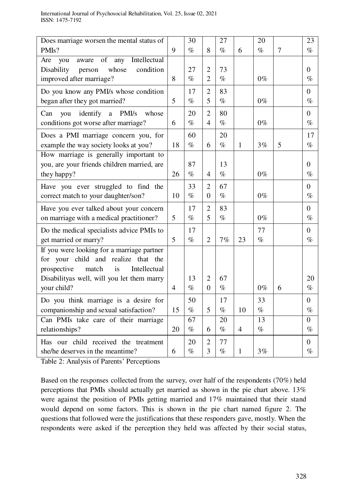| Does marriage worsen the mental status of        |                | 30   |                | 27   |                | 20    |   | 23       |
|--------------------------------------------------|----------------|------|----------------|------|----------------|-------|---|----------|
| PMI <sub>s</sub> ?                               | 9              | $\%$ | 8              | $\%$ | 6              | $\%$  | 7 | $\%$     |
| of<br>Intellectual<br>any<br>Are<br>aware<br>you |                |      |                |      |                |       |   |          |
| Disability<br>whose<br>condition<br>person       |                | 27   | $\overline{2}$ | 73   |                |       |   | $\theta$ |
| improved after marriage?                         | 8              | $\%$ | $\overline{2}$ | $\%$ |                | $0\%$ |   | $\%$     |
| Do you know any PMI/s whose condition            |                | 17   | $\overline{2}$ | 83   |                |       |   | $\Omega$ |
| began after they got married?                    | 5              | $\%$ | 5              | $\%$ |                | $0\%$ |   | $\%$     |
| identify<br>PMI/s<br>Can<br>whose<br>you<br>a    |                | 20   | $\overline{2}$ | 80   |                |       |   | $\Omega$ |
| conditions got worse after marriage?             | 6              | $\%$ | 4              | $\%$ |                | $0\%$ |   | $\%$     |
| Does a PMI marriage concern you, for             |                | 60   |                | 20   |                |       |   | 17       |
| example the way society looks at you?            | 18             | $\%$ | 6              | $\%$ | $\mathbf{1}$   | 3%    | 5 | $\%$     |
| How marriage is generally important to           |                |      |                |      |                |       |   |          |
| you, are your friends children married, are      |                | 87   |                | 13   |                |       |   | $\Omega$ |
| they happy?                                      | 26             | $\%$ | $\overline{4}$ | $\%$ |                | $0\%$ |   | $\%$     |
| Have you ever struggled to find the              |                | 33   | $\overline{2}$ | 67   |                |       |   | $\theta$ |
| correct match to your daughter/son?              | 10             | $\%$ | $\Omega$       | $\%$ |                | $0\%$ |   | $\%$     |
| Have you ever talked about your concern          |                | 17   | $\overline{2}$ | 83   |                |       |   | $\Omega$ |
| on marriage with a medical practitioner?         | 5              | $\%$ | 5              | $\%$ |                | $0\%$ |   | $\%$     |
| Do the medical specialists advice PMIs to        |                | 17   |                |      |                | 77    |   | $\theta$ |
| get married or marry?                            | 5              | $\%$ | $\overline{2}$ | 7%   | 23             | $\%$  |   | $\%$     |
| If you were looking for a marriage partner       |                |      |                |      |                |       |   |          |
| for your child and realize<br>that<br>the        |                |      |                |      |                |       |   |          |
| match<br>Intellectual<br>prospective<br>is       |                |      |                |      |                |       |   |          |
| Disabilityas well, will you let them marry       |                | 13   | $\overline{2}$ | 67   |                |       |   | 20       |
| your child?                                      | $\overline{4}$ | $\%$ | $\Omega$       | $\%$ |                | $0\%$ | 6 | $\%$     |
| Do you think marriage is a desire for            |                | 50   |                | 17   |                | 33    |   | $\theta$ |
| companionship and sexual satisfaction?           | 15             | $\%$ | 5              | $\%$ | 10             | $\%$  |   | $\%$     |
| Can PMIs take care of their marriage             |                | 67   |                | 20   |                | 13    |   | $\theta$ |
| relationships?                                   | 20             | $\%$ | 6              | $\%$ | $\overline{4}$ | $\%$  |   | $\%$     |
| Has our child received the treatment             |                | 20   | $\overline{2}$ | 77   |                |       |   | $\theta$ |
| she/he deserves in the meantime?                 | 6              | $\%$ | 3              | $\%$ | 1              | 3%    |   | $\%$     |

Table 2: Analysis of Parents' Perceptions

Based on the responses collected from the survey, over half of the respondents (70%) held perceptions that PMIs should actually get married as shown in the pie chart above. 13% were against the position of PMIs getting married and 17% maintained that their stand would depend on some factors. This is shown in the pie chart named figure 2. The questions that followed were the justifications that these responders gave, mostly. When the respondents were asked if the perception they held was affected by their social status,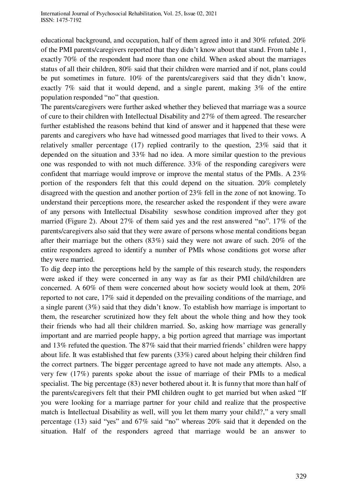educational background, and occupation, half of them agreed into it and 30% refuted. 20% of the PMI parents/caregivers reported that they didn't know about that stand. From table 1, exactly 70% of the respondent had more than one child. When asked about the marriages status of all their children, 80% said that their children were married and if not, plans could be put sometimes in future. 10% of the parents/caregivers said that they didn't know, exactly 7% said that it would depend, and a single parent, making 3% of the entire population responded "no" that question.

The parents/caregivers were further asked whether they believed that marriage was a source of cure to their children with Intellectual Disability and 27% of them agreed. The researcher further established the reasons behind that kind of answer and it happened that these were parents and caregivers who have had witnessed good marriages that lived to their vows. A relatively smaller percentage (17) replied contrarily to the question, 23% said that it depended on the situation and 33% had no idea. A more similar question to the previous one was responded to with not much difference. 33% of the responding caregivers were confident that marriage would improve or improve the mental status of the PMIs. A 23% portion of the responders felt that this could depend on the situation. 20% completely disagreed with the question and another portion of 23% fell in the zone of not knowing. To understand their perceptions more, the researcher asked the respondent if they were aware of any persons with Intellectual Disability seswhose condition improved after they got married (Figure 2). About 27% of them said yes and the rest answered "no". 17% of the parents/caregivers also said that they were aware of persons whose mental conditions began after their marriage but the others (83%) said they were not aware of such. 20% of the entire responders agreed to identify a number of PMIs whose conditions got worse after they were married.

To dig deep into the perceptions held by the sample of this research study, the responders were asked if they were concerned in any way as far as their PMI child/children are concerned. A 60% of them were concerned about how society would look at them, 20% reported to not care, 17% said it depended on the prevailing conditions of the marriage, and a single parent  $(3\%)$  said that they didn't know. To establish how marriage is important to them, the researcher scrutinized how they felt about the whole thing and how they took their friends who had all their children married. So, asking how marriage was generally important and are married people happy, a big portion agreed that marriage was important and 13% refuted the question. The 87% said that their married friends' children were happy about life. It was established that few parents (33%) cared about helping their children find the correct partners. The bigger percentage agreed to have not made any attempts. Also, a very few (17%) parents spoke about the issue of marriage of their PMIs to a medical specialist. The big percentage (83) never bothered about it. It is funny that more than half of the parents/caregivers felt that their PMI children ought to get married but when asked "If you were looking for a marriage partner for your child and realize that the prospective match is Intellectual Disability as well, will you let them marry your child?," a very small percentage (13) said "yes" and 67% said "no" whereas 20% said that it depended on the situation. Half of the responders agreed that marriage would be an answer to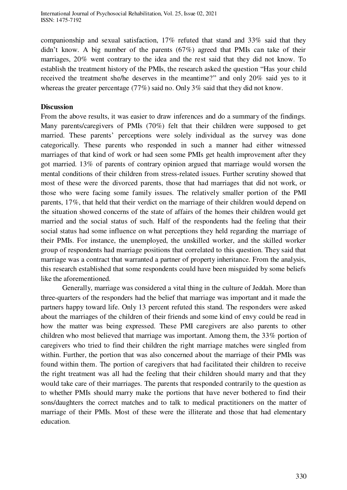companionship and sexual satisfaction, 17% refuted that stand and 33% said that they didn't know. A big number of the parents (67%) agreed that PMIs can take of their marriages, 20% went contrary to the idea and the rest said that they did not know. To establish the treatment history of the PMIs, the research asked the question "Has your child received the treatment she/he deserves in the meantime?" and only 20% said yes to it whereas the greater percentage (77%) said no. Only 3% said that they did not know.

## **Discussion**

From the above results, it was easier to draw inferences and do a summary of the findings. Many parents/caregivers of PMIs (70%) felt that their children were supposed to get married. These parents' perceptions were solely individual as the survey was done categorically. These parents who responded in such a manner had either witnessed marriages of that kind of work or had seen some PMIs get health improvement after they got married. 13% of parents of contrary opinion argued that marriage would worsen the mental conditions of their children from stress-related issues. Further scrutiny showed that most of these were the divorced parents, those that had marriages that did not work, or those who were facing some family issues. The relatively smaller portion of the PMI parents, 17%, that held that their verdict on the marriage of their children would depend on the situation showed concerns of the state of affairs of the homes their children would get married and the social status of such. Half of the respondents had the feeling that their social status had some influence on what perceptions they held regarding the marriage of their PMIs. For instance, the unemployed, the unskilled worker, and the skilled worker group of respondents had marriage positions that correlated to this question. They said that marriage was a contract that warranted a partner of property inheritance. From the analysis, this research established that some respondents could have been misguided by some beliefs like the aforementioned.

 Generally, marriage was considered a vital thing in the culture of Jeddah. More than three-quarters of the responders had the belief that marriage was important and it made the partners happy toward life. Only 13 percent refuted this stand. The responders were asked about the marriages of the children of their friends and some kind of envy could be read in how the matter was being expressed. These PMI caregivers are also parents to other children who most believed that marriage was important. Among them, the 33% portion of caregivers who tried to find their children the right marriage matches were singled from within. Further, the portion that was also concerned about the marriage of their PMIs was found within them. The portion of caregivers that had facilitated their children to receive the right treatment was all had the feeling that their children should marry and that they would take care of their marriages. The parents that responded contrarily to the question as to whether PMIs should marry make the portions that have never bothered to find their sons/daughters the correct matches and to talk to medical practitioners on the matter of marriage of their PMIs. Most of these were the illiterate and those that had elementary education.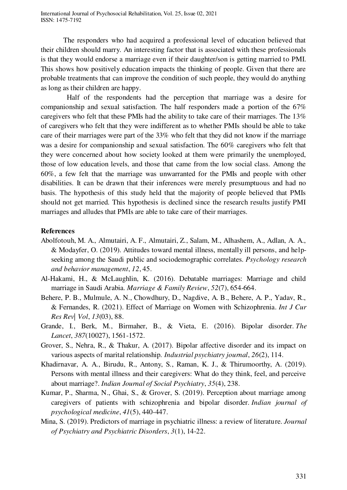The responders who had acquired a professional level of education believed that their children should marry. An interesting factor that is associated with these professionals is that they would endorse a marriage even if their daughter/son is getting married to PMI. This shows how positively education impacts the thinking of people. Given that there are probable treatments that can improve the condition of such people, they would do anything as long as their children are happy.

Half of the respondents had the perception that marriage was a desire for companionship and sexual satisfaction. The half responders made a portion of the 67% caregivers who felt that these PMIs had the ability to take care of their marriages. The 13% of caregivers who felt that they were indifferent as to whether PMIs should be able to take care of their marriages were part of the 33% who felt that they did not know if the marriage was a desire for companionship and sexual satisfaction. The 60% caregivers who felt that they were concerned about how society looked at them were primarily the unemployed, those of low education levels, and those that came from the low social class. Among the 60%, a few felt that the marriage was unwarranted for the PMIs and people with other disabilities. It can be drawn that their inferences were merely presumptuous and had no basis. The hypothesis of this study held that the majority of people believed that PMIs should not get married. This hypothesis is declined since the research results justify PMI marriages and alludes that PMIs are able to take care of their marriages.

#### **References**

- Abolfotouh, M. A., Almutairi, A. F., Almutairi, Z., Salam, M., Alhashem, A., Adlan, A. A., & Modayfer, O. (2019). Attitudes toward mental illness, mentally ill persons, and helpseeking among the Saudi public and sociodemographic correlates. *Psychology research and behavior management*, *12*, 45.
- Al-Hakami, H., & McLaughlin, K. (2016). Debatable marriages: Marriage and child marriage in Saudi Arabia. *Marriage & Family Review*, *52*(7), 654-664.
- Behere, P. B., Mulmule, A. N., Chowdhury, D., Nagdive, A. B., Behere, A. P., Yadav, R., & Fernandes, R. (2021). Effect of Marriage on Women with Schizophrenia. *Int J Cur Res Rev| Vol*, *13*(03), 88.
- Grande, I., Berk, M., Birmaher, B., & Vieta, E. (2016). Bipolar disorder. *The Lancet*, *387*(10027), 1561-1572.
- Grover, S., Nehra, R., & Thakur, A. (2017). Bipolar affective disorder and its impact on various aspects of marital relationship. *Industrial psychiatry journal*, *26*(2), 114.
- Khadirnavar, A. A., Birudu, R., Antony, S., Raman, K. J., & Thirumoorthy, A. (2019). Persons with mental illness and their caregivers: What do they think, feel, and perceive about marriage?. *Indian Journal of Social Psychiatry*, *35*(4), 238.
- Kumar, P., Sharma, N., Ghai, S., & Grover, S. (2019). Perception about marriage among caregivers of patients with schizophrenia and bipolar disorder. *Indian journal of psychological medicine*, *41*(5), 440-447.
- Mina, S. (2019). Predictors of marriage in psychiatric illness: a review of literature. *Journal of Psychiatry and Psychiatric Disorders*, *3*(1), 14-22.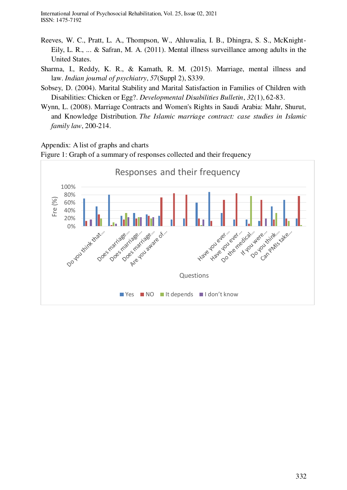International Journal of Psychosocial Rehabilitation, Vol. 25, Issue 02, 2021 ISSN: 1475-7192

- Reeves, W. C., Pratt, L. A., Thompson, W., Ahluwalia, I. B., Dhingra, S. S., McKnight-Eily, L. R., ... & Safran, M. A. (2011). Mental illness surveillance among adults in the United States.
- Sharma, I., Reddy, K. R., & Kamath, R. M. (2015). Marriage, mental illness and law. *Indian journal of psychiatry*, *57*(Suppl 2), S339.
- Sobsey, D. (2004). Marital Stability and Marital Satisfaction in Families of Children with Disabilities: Chicken or Egg?. *Developmental Disabilities Bulletin*, *32*(1), 62-83.
- Wynn, L. (2008). Marriage Contracts and Women's Rights in Saudi Arabia: Mahr, Shurut, and Knowledge Distribution. *The Islamic marriage contract: case studies in Islamic family law*, 200-214.

#### Appendix: A list of graphs and charts

Figure 1: Graph of a summary of responses collected and their frequency

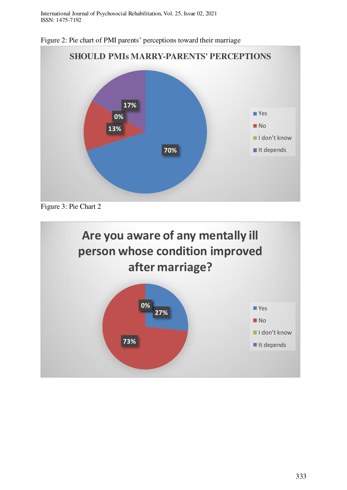International Journal of Psychosocial Rehabilitation, Vol. 25, Issue 02, 2021 ISSN: 1475-7192